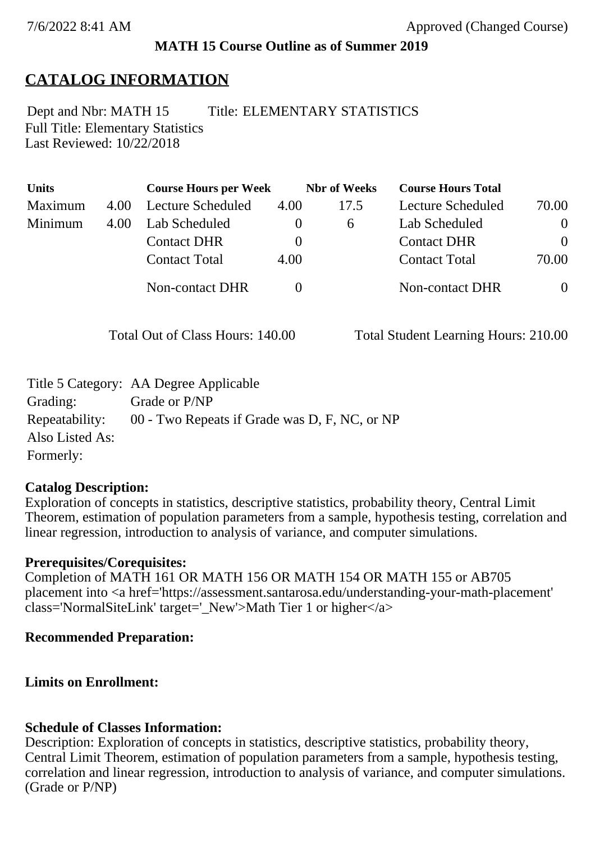### **MATH 15 Course Outline as of Summer 2019**

# **CATALOG INFORMATION**

Full Title: Elementary Statistics Last Reviewed: 10/22/2018 Dept and Nbr: MATH 15 Title: ELEMENTARY STATISTICS

| <b>Units</b> |      | <b>Course Hours per Week</b> |      | <b>Nbr</b> of Weeks | <b>Course Hours Total</b> |                |
|--------------|------|------------------------------|------|---------------------|---------------------------|----------------|
| Maximum      | 4.00 | Lecture Scheduled            | 4.00 | 17.5                | Lecture Scheduled         | 70.00          |
| Minimum      | 4.00 | Lab Scheduled                |      | $\sigma$            | Lab Scheduled             | $\overline{0}$ |
|              |      | <b>Contact DHR</b>           |      |                     | <b>Contact DHR</b>        | $\Omega$       |
|              |      | <b>Contact Total</b>         | 4.00 |                     | <b>Contact Total</b>      | 70.00          |
|              |      | Non-contact DHR              |      |                     | <b>Non-contact DHR</b>    | $\Omega$       |

Total Out of Class Hours: 140.00 Total Student Learning Hours: 210.00

|                 | Title 5 Category: AA Degree Applicable        |
|-----------------|-----------------------------------------------|
| Grading:        | Grade or P/NP                                 |
| Repeatability:  | 00 - Two Repeats if Grade was D, F, NC, or NP |
| Also Listed As: |                                               |
| Formerly:       |                                               |

#### **Catalog Description:**

Exploration of concepts in statistics, descriptive statistics, probability theory, Central Limit Theorem, estimation of population parameters from a sample, hypothesis testing, correlation and linear regression, introduction to analysis of variance, and computer simulations.

#### **Prerequisites/Corequisites:**

Completion of MATH 161 OR MATH 156 OR MATH 154 OR MATH 155 or AB705 placement into <a href='https://assessment.santarosa.edu/understanding-your-math-placement'  $class='NormalSiteLink' target='New' > Math Tier 1 or higher value$ 

#### **Recommended Preparation:**

#### **Limits on Enrollment:**

#### **Schedule of Classes Information:**

Description: Exploration of concepts in statistics, descriptive statistics, probability theory, Central Limit Theorem, estimation of population parameters from a sample, hypothesis testing, correlation and linear regression, introduction to analysis of variance, and computer simulations. (Grade or P/NP)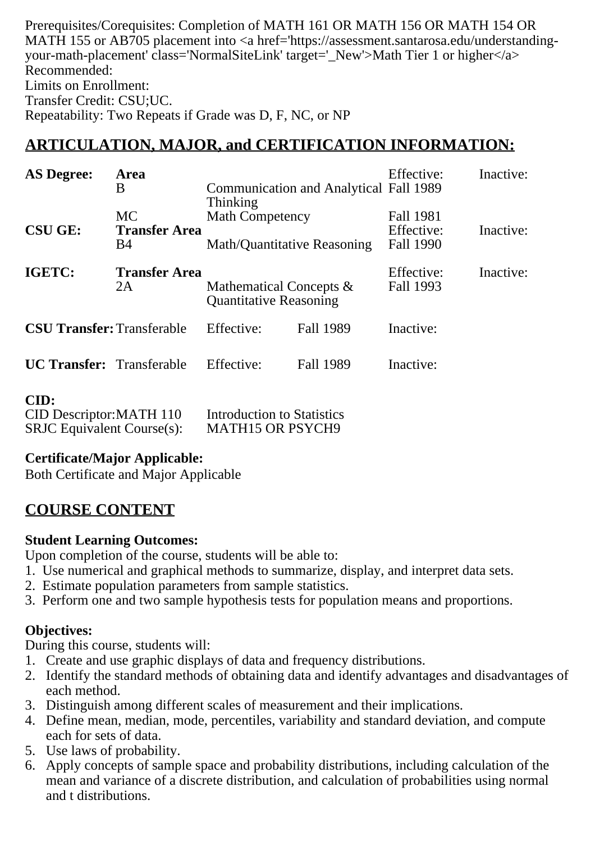Prerequisites/Corequisites: Completion of MATH 161 OR MATH 156 OR MATH 154 OR MATH 155 or AB705 placement into <a href='https://assessment.santarosa.edu/understandingyour-math-placement' class='NormalSiteLink' target='\_New'>Math Tier 1 or higher</a> Recommended: Limits on Enrollment: Transfer Credit: CSU;UC. Repeatability: Two Repeats if Grade was D, F, NC, or NP

# **ARTICULATION, MAJOR, and CERTIFICATION INFORMATION:**

| <b>AS Degree:</b><br><b>Area</b><br>B |                                   | <b>Communication and Analytical Fall 1989</b><br><b>Thinking</b> |                  | Inactive:<br>Effective: |           |
|---------------------------------------|-----------------------------------|------------------------------------------------------------------|------------------|-------------------------|-----------|
| <b>CSU GE:</b>                        | <b>MC</b><br><b>Transfer Area</b> | <b>Math Competency</b>                                           |                  | Fall 1981<br>Effective: | Inactive: |
|                                       | B4                                | Math/Quantitative Reasoning                                      |                  | Fall 1990               |           |
| IGETC:                                | <b>Transfer Area</b><br>2A        | Mathematical Concepts &<br><b>Quantitative Reasoning</b>         |                  | Effective:<br>Fall 1993 | Inactive: |
| <b>CSU Transfer: Transferable</b>     |                                   | Effective:                                                       | <b>Fall 1989</b> | Inactive:               |           |
| <b>UC Transfer:</b> Transferable      |                                   | Effective:                                                       | Fall 1989        | Inactive:               |           |
| CID:                                  |                                   |                                                                  |                  |                         |           |

| vw.                               |                                   |
|-----------------------------------|-----------------------------------|
| CID Descriptor: MATH 110          | <b>Introduction to Statistics</b> |
| <b>SRJC</b> Equivalent Course(s): | <b>MATH15 OR PSYCH9</b>           |

#### **Certificate/Major Applicable:**

[Both Certificate and Major Applicable](SR_ClassCheck.aspx?CourseKey=MATH15)

# **COURSE CONTENT**

#### **Student Learning Outcomes:**

Upon completion of the course, students will be able to:

- 1. Use numerical and graphical methods to summarize, display, and interpret data sets.
- 2. Estimate population parameters from sample statistics.
- 3. Perform one and two sample hypothesis tests for population means and proportions.

## **Objectives:**

During this course, students will:

- 1. Create and use graphic displays of data and frequency distributions.
- 2. Identify the standard methods of obtaining data and identify advantages and disadvantages of each method.
- 3. Distinguish among different scales of measurement and their implications.
- 4. Define mean, median, mode, percentiles, variability and standard deviation, and compute each for sets of data.
- 5. Use laws of probability.
- 6. Apply concepts of sample space and probability distributions, including calculation of the mean and variance of a discrete distribution, and calculation of probabilities using normal and t distributions.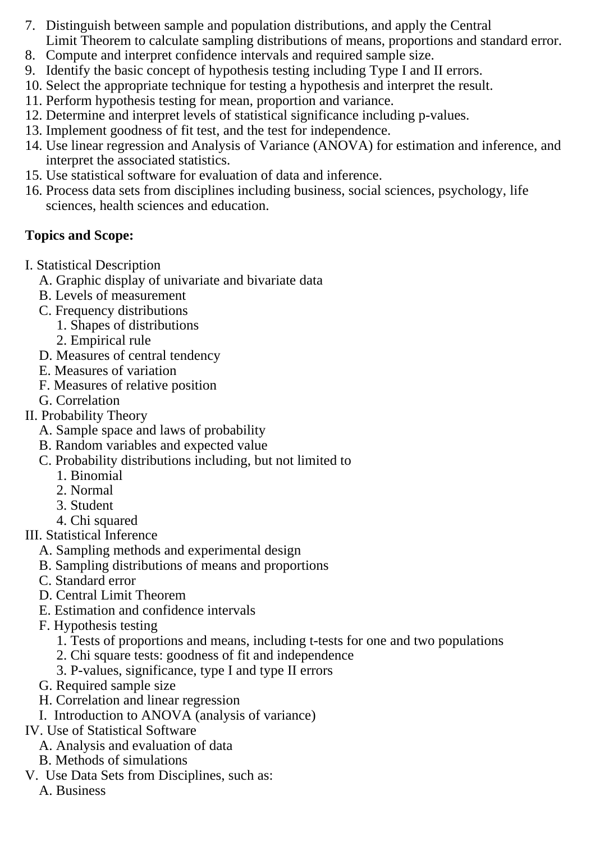- 7. Distinguish between sample and population distributions, and apply the Central Limit Theorem to calculate sampling distributions of means, proportions and standard error.
- 8. Compute and interpret confidence intervals and required sample size.
- 9. Identify the basic concept of hypothesis testing including Type I and II errors.
- 10. Select the appropriate technique for testing a hypothesis and interpret the result.
- 11. Perform hypothesis testing for mean, proportion and variance.
- 12. Determine and interpret levels of statistical significance including p-values.
- 13. Implement goodness of fit test, and the test for independence.
- 14. Use linear regression and Analysis of Variance (ANOVA) for estimation and inference, and interpret the associated statistics.
- 15. Use statistical software for evaluation of data and inference.
- 16. Process data sets from disciplines including business, social sciences, psychology, life sciences, health sciences and education.

# **Topics and Scope:**

- I. Statistical Description
	- A. Graphic display of univariate and bivariate data
	- B. Levels of measurement
	- C. Frequency distributions
		- 1. Shapes of distributions
		- 2. Empirical rule
	- D. Measures of central tendency
	- E. Measures of variation
	- F. Measures of relative position
	- G. Correlation
- II. Probability Theory
	- A. Sample space and laws of probability
	- B. Random variables and expected value
	- C. Probability distributions including, but not limited to
		- 1. Binomial
		- 2. Normal
		- 3. Student
		- 4. Chi squared
- III. Statistical Inference
	- A. Sampling methods and experimental design
	- B. Sampling distributions of means and proportions
	- C. Standard error
	- D. Central Limit Theorem
	- E. Estimation and confidence intervals
	- F. Hypothesis testing
		- 1. Tests of proportions and means, including t-tests for one and two populations
		- 2. Chi square tests: goodness of fit and independence
		- 3. P-values, significance, type I and type II errors
	- G. Required sample size
	- H. Correlation and linear regression
	- I. Introduction to ANOVA (analysis of variance)
- IV. Use of Statistical Software
	- A. Analysis and evaluation of data
	- B. Methods of simulations
- V. Use Data Sets from Disciplines, such as:
	- A. Business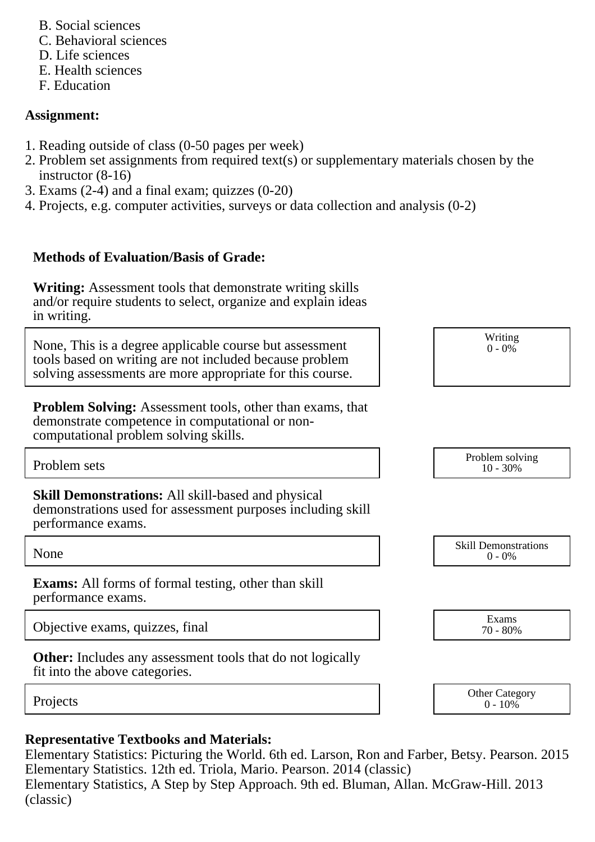- B. Social sciences
- C. Behavioral sciences
- D. Life sciences
- E. Health sciences
- F. Education

## **Assignment:**

- 1. Reading outside of class (0-50 pages per week)
- 2. Problem set assignments from required text(s) or supplementary materials chosen by the instructor (8-16)
- 3. Exams (2-4) and a final exam; quizzes (0-20)
- 4. Projects, e.g. computer activities, surveys or data collection and analysis (0-2)

# **Methods of Evaluation/Basis of Grade:**

**Writing:** Assessment tools that demonstrate writing skills and/or require students to select, organize and explain ideas in writing.

None, This is a degree applicable course but assessment tools based on writing are not included because problem solving assessments are more appropriate for this course.

**Problem Solving:** Assessment tools, other than exams, that demonstrate competence in computational or noncomputational problem solving skills.

**Skill Demonstrations:** All skill-based and physical demonstrations used for assessment purposes including skill performance exams.

**Exams:** All forms of formal testing, other than skill performance exams.

Objective exams, quizzes, final Exams<br>  $\frac{1}{70-80\%}$ 

**Other:** Includes any assessment tools that do not logically fit into the above categories.

## **Representative Textbooks and Materials:**

Elementary Statistics: Picturing the World. 6th ed. Larson, Ron and Farber, Betsy. Pearson. 2015 Elementary Statistics. 12th ed. Triola, Mario. Pearson. 2014 (classic) Elementary Statistics, A Step by Step Approach. 9th ed. Bluman, Allan. McGraw-Hill. 2013 (classic)

Writing  $0 - 0\%$ 

Problem sets Problem solving and the Problem solving and the Problem solving in the Problem solving in the Problem solving  $10 - 30\%$ 10 - 30%

None Skill Demonstrations<br>  $\begin{array}{c} \text{Skill,} \\ 0 \text{ - } 0\% \end{array}$  $0 - 0\%$ 

70 - 80%